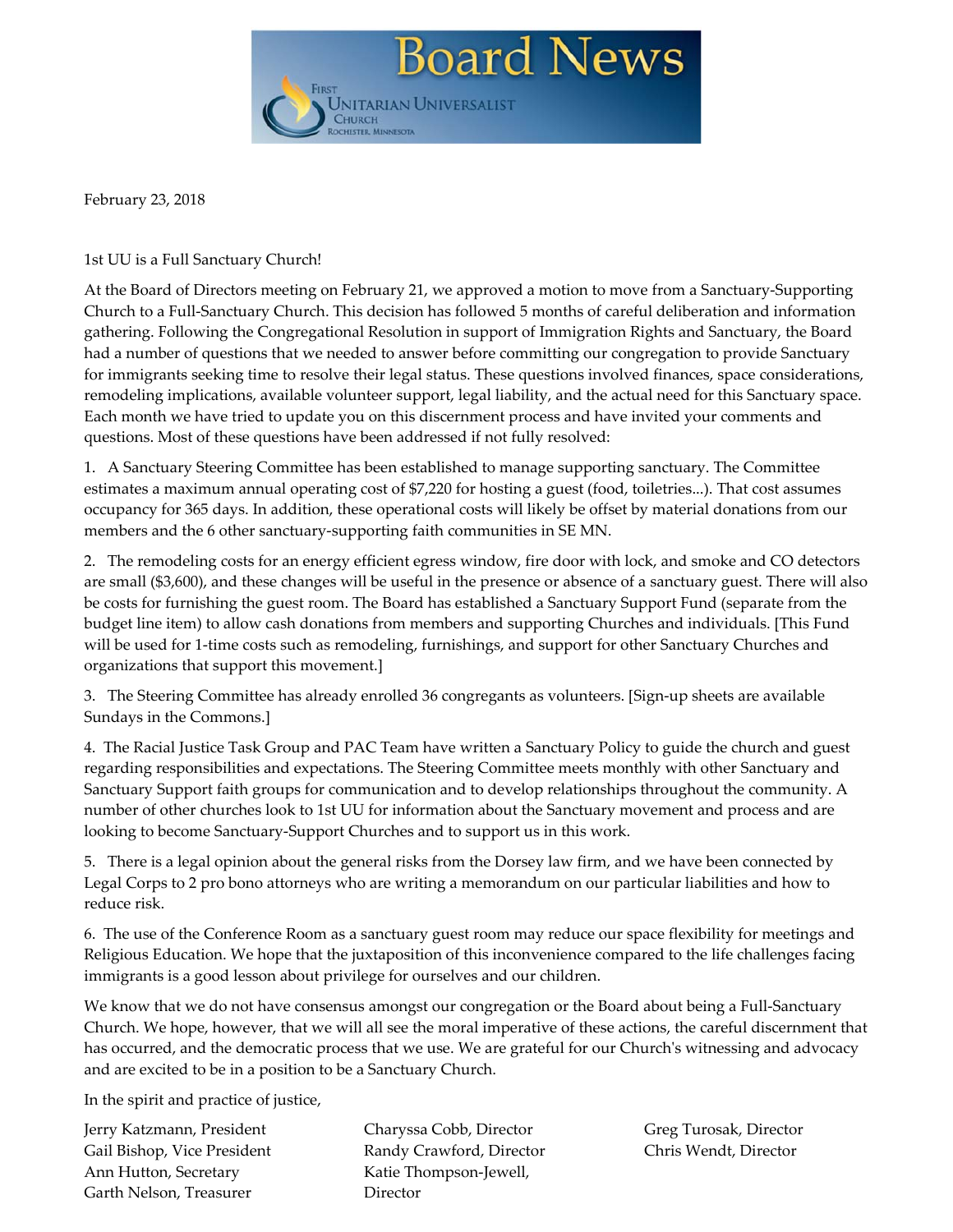

February 23, 2018

1st UU is a Full Sanctuary Church!

At the Board of Directors meeting on February 21, we approved a motion to move from a Sanctuary‐Supporting Church to a Full‐Sanctuary Church. This decision has followed 5 months of careful deliberation and information gathering. Following the Congregational Resolution in support of Immigration Rights and Sanctuary, the Board had a number of questions that we needed to answer before committing our congregation to provide Sanctuary for immigrants seeking time to resolve their legal status. These questions involved finances, space considerations, remodeling implications, available volunteer support, legal liability, and the actual need for this Sanctuary space. Each month we have tried to update you on this discernment process and have invited your comments and questions. Most of these questions have been addressed if not fully resolved:

1. A Sanctuary Steering Committee has been established to manage supporting sanctuary. The Committee estimates a maximum annual operating cost of \$7,220 for hosting a guest (food, toiletries...). That cost assumes occupancy for 365 days. In addition, these operational costs will likely be offset by material donations from our members and the 6 other sanctuary‐supporting faith communities in SE MN.

2. The remodeling costs for an energy efficient egress window, fire door with lock, and smoke and CO detectors are small (\$3,600), and these changes will be useful in the presence or absence of a sanctuary guest. There will also be costs for furnishing the guest room. The Board has established a Sanctuary Support Fund (separate from the budget line item) to allow cash donations from members and supporting Churches and individuals. [This Fund will be used for 1-time costs such as remodeling, furnishings, and support for other Sanctuary Churches and organizations that support this movement.]

3. The Steering Committee has already enrolled 36 congregants as volunteers. [Sign-up sheets are available Sundays in the Commons.]

4. The Racial Justice Task Group and PAC Team have written a Sanctuary Policy to guide the church and guest regarding responsibilities and expectations. The Steering Committee meets monthly with other Sanctuary and Sanctuary Support faith groups for communication and to develop relationships throughout the community. A number of other churches look to 1st UU for information about the Sanctuary movement and process and are looking to become Sanctuary‐Support Churches and to support us in this work.

5. There is a legal opinion about the general risks from the Dorsey law firm, and we have been connected by Legal Corps to 2 pro bono attorneys who are writing a memorandum on our particular liabilities and how to reduce risk.

6. The use of the Conference Room as a sanctuary guest room may reduce our space flexibility for meetings and Religious Education. We hope that the juxtaposition of this inconvenience compared to the life challenges facing immigrants is a good lesson about privilege for ourselves and our children.

We know that we do not have consensus amongst our congregation or the Board about being a Full‐Sanctuary Church. We hope, however, that we will all see the moral imperative of these actions, the careful discernment that has occurred, and the democratic process that we use. We are grateful for our Church's witnessing and advocacy and are excited to be in a position to be a Sanctuary Church.

In the spirit and practice of justice,

| Jerry Katzmann, President   |
|-----------------------------|
| Gail Bishop, Vice President |
| Ann Hutton, Secretary       |
| Garth Nelson, Treasurer     |

Charyssa Cobb, Director Randy Crawford, Director Katie Thompson‐Jewell, Director

Greg Turosak, Director Chris Wendt, Director